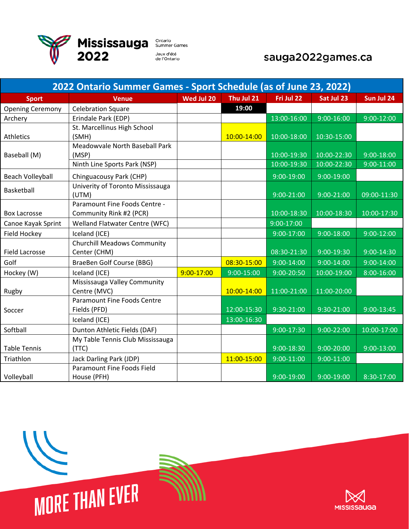

## sauga2022games.ca

| 2022 Ontario Summer Games - Sport Schedule (as of June 23, 2022) |                                             |            |                |                |                |                |  |
|------------------------------------------------------------------|---------------------------------------------|------------|----------------|----------------|----------------|----------------|--|
| <b>Sport</b>                                                     | <b>Venue</b>                                | Wed Jul 20 | Thu Jul 21     | Fri Jul 22     | Sat Jul 23     | Sun Jul 24     |  |
| <b>Opening Ceremony</b>                                          | <b>Celebration Square</b>                   |            | 19:00          |                |                |                |  |
| Archery                                                          | Erindale Park (EDP)                         |            |                | 13:00-16:00    | $9:00 - 16:00$ | $9:00-12:00$   |  |
|                                                                  | St. Marcellinus High School                 |            |                |                |                |                |  |
| Athletics                                                        | (SMH)                                       |            | 10:00-14:00    | 10:00-18:00    | 10:30-15:00    |                |  |
|                                                                  | Meadowvale North Baseball Park              |            |                |                |                |                |  |
| Baseball (M)                                                     | (MSP)                                       |            |                | 10:00-19:30    | 10:00-22:30    | $9:00 - 18:00$ |  |
|                                                                  | Ninth Line Sports Park (NSP)                |            |                | 10:00-19:30    | 10:00-22:30    | $9:00 - 11:00$ |  |
| Beach Volleyball                                                 | Chinguacousy Park (CHP)                     |            |                | $9:00-19:00$   | $9:00-19:00$   |                |  |
| Basketball                                                       | Univerity of Toronto Mississauga            |            |                |                |                |                |  |
|                                                                  | (UTM)<br>Paramount Fine Foods Centre -      |            |                | $9:00 - 21:00$ | 9:00-21:00     | 09:00-11:30    |  |
| <b>Box Lacrosse</b>                                              | Community Rink #2 (PCR)                     |            |                | 10:00-18:30    | 10:00-18:30    | 10:00-17:30    |  |
| Canoe Kayak Sprint                                               | <b>Welland Flatwater Centre (WFC)</b>       |            |                | 9:00-17:00     |                |                |  |
| Field Hockey                                                     | Iceland (ICE)                               |            |                | $9:00-17:00$   | $9:00 - 18:00$ | $9:00 - 12:00$ |  |
|                                                                  | <b>Churchill Meadows Community</b>          |            |                |                |                |                |  |
| <b>Field Lacrosse</b>                                            | Center (CHM)                                |            |                | 08:30-21:30    | $9:00 - 19:30$ | 9:00-14:30     |  |
| Golf                                                             | BraeBen Golf Course (BBG)                   |            | 08:30-15:00    | $9:00 - 14:00$ | 9:00-14:00     | 9:00-14:00     |  |
| Hockey (W)                                                       | Iceland (ICE)                               | 9:00-17:00 | $9:00 - 15:00$ | $9:00 - 20:50$ | 10:00-19:00    | 8:00-16:00     |  |
|                                                                  | Mississauga Valley Community                |            |                |                |                |                |  |
| Rugby                                                            | Centre (MVC)                                |            | 10:00-14:00    | 11:00-21:00    | 11:00-20:00    |                |  |
| Soccer                                                           | Paramount Fine Foods Centre<br>Fields (PFD) |            | 12:00-15:30    | 9:30-21:00     | 9:30-21:00     | 9:00-13:45     |  |
|                                                                  | Iceland (ICE)                               |            | 13:00-16:30    |                |                |                |  |
| Softball                                                         | Dunton Athletic Fields (DAF)                |            |                | $9:00-17:30$   | $9:00 - 22:00$ | 10:00-17:00    |  |
|                                                                  | My Table Tennis Club Mississauga            |            |                |                |                |                |  |
| <b>Table Tennis</b>                                              | (TTC)                                       |            |                | 9:00-18:30     | $9:00 - 20:00$ | $9:00 - 13:00$ |  |
| Triathlon                                                        | Jack Darling Park (JDP)                     |            | 11:00-15:00    | $9:00 - 11:00$ | $9:00-11:00$   |                |  |
|                                                                  | Paramount Fine Foods Field                  |            |                |                |                |                |  |
| Volleyball                                                       | House (PFH)                                 |            |                | 9:00-19:00     | $9:00 - 19:00$ | 8:30-17:00     |  |



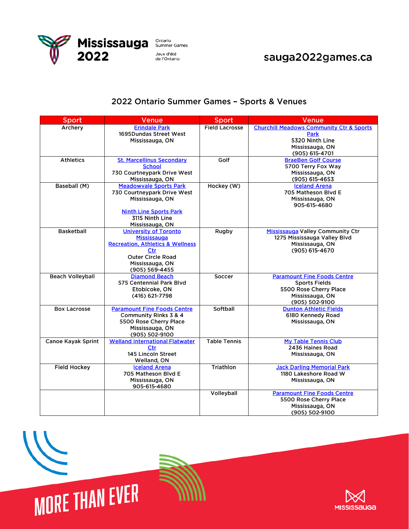

## sauga2022games.ca

## 2022 Ontario Summer Games - Sports & Venues

| <b>Sport</b>              | <b>Venue</b>                                                                                                                                                       | <b>Sport</b>          | Venue                                                                                                                     |
|---------------------------|--------------------------------------------------------------------------------------------------------------------------------------------------------------------|-----------------------|---------------------------------------------------------------------------------------------------------------------------|
| Archery                   | <b>Erindale Park</b><br>1695Dundas Street West<br>Mississauga, ON                                                                                                  | <b>Field Lacrosse</b> | <b>Churchill Meadows Community Ctr &amp; Sports</b><br>Park<br>5320 Ninth Line<br>Mississauga, ON<br>(905) 615-4701       |
| <b>Athletics</b>          | <b>St. Marcellinus Secondary</b><br><b>School</b><br>730 Courtneypark Drive West<br>Mississauga, ON                                                                | Golf                  | <b>BraeBen Golf Course</b><br>5700 Terry Fox Way<br>Mississauga, ON<br>(905) 615-4653                                     |
| Baseball (M)              | <b>Meadowvale Sports Park</b><br>730 Courtneypark Drive West<br>Mississauga, ON<br><b>Ninth Line Sports Park</b><br>3115 Ninth Line<br>Mississauga, ON             | Hockey (W)            | <b>Iceland Arena</b><br>705 Matheson Blvd E<br>Mississauga, ON<br>905-615-4680                                            |
| <b>Basketball</b>         | <b>University of Toronto</b><br>Mississauga<br><b>Recreation, Athletics &amp; Wellness</b><br>Ctr<br><b>Outer Circle Road</b><br>Mississauga, ON<br>(905) 569-4455 | Rugby                 | Mississauga Valley Community Ctr<br>1275 Mississauga Valley Blvd<br>Mississauga, ON<br>(905) 615-4670                     |
| <b>Beach Volleyball</b>   | <b>Diamond Beach</b><br>575 Centennial Park Blvd<br>Etobicoke, ON<br>(416) 621-7798                                                                                | Soccer                | <b>Paramount Fine Foods Centre</b><br><b>Sports Fields</b><br>5500 Rose Cherry Place<br>Mississauga, ON<br>(905) 502-9100 |
| <b>Box Lacrosse</b>       | <b>Paramount Fine Foods Centre</b><br>Community Rinks 3 & 4<br>5500 Rose Cherry Place<br>Mississauga, ON<br>(905) 502-9100                                         | Softball              | <b>Dunton Athletic Fields</b><br>6180 Kennedy Road<br>Mississauga, ON                                                     |
| <b>Canoe Kayak Sprint</b> | <b>Welland International Flatwater</b><br>Ctr<br>145 Lincoln Street<br>Welland, ON                                                                                 | <b>Table Tennis</b>   | <b>My Table Tennis Club</b><br>2436 Haines Road<br>Mississauga, ON                                                        |
| <b>Field Hockey</b>       | <b>Iceland Arena</b><br>705 Matheson Blvd E<br>Mississauga, ON<br>905-615-4680                                                                                     | Triathlon             | <b>Jack Darling Memorial Park</b><br>1180 Lakeshore Road W<br>Mississauga, ON                                             |
|                           |                                                                                                                                                                    | Volleyball            | <b>Paramount Fine Foods Centre</b><br>5500 Rose Cherry Place<br>Mississauga, ON<br>(905) 502-9100                         |